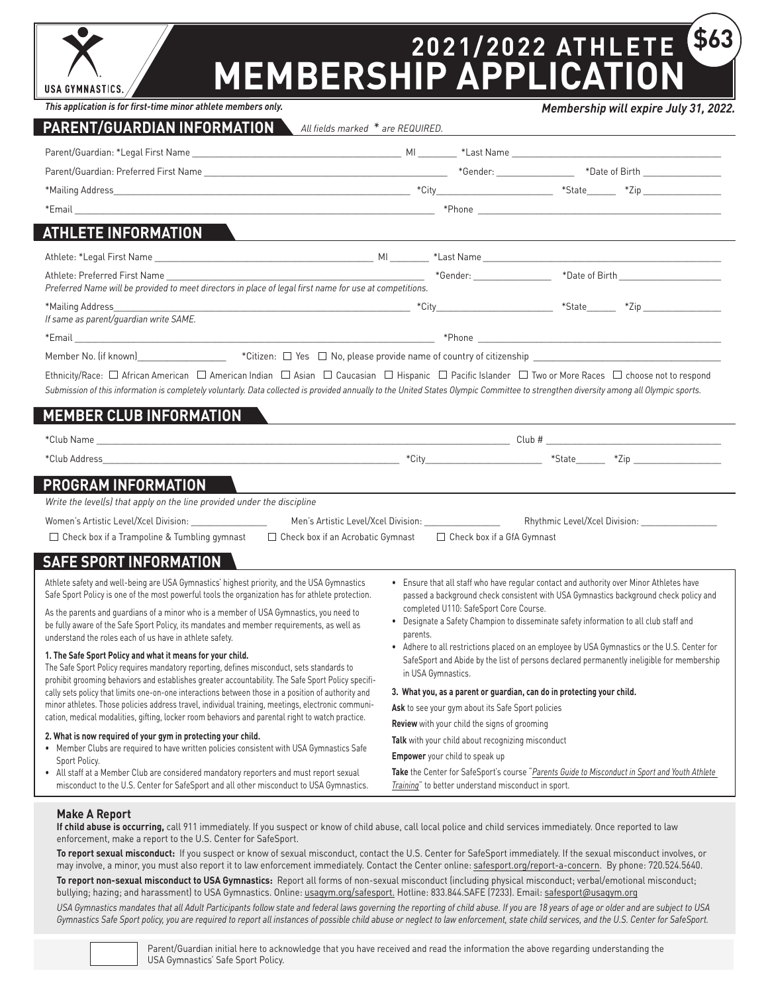

# **2021/2022 ATHLETE MEMBERSHIP APPLICATION \$63**

*This application is for first-time minor athlete members only.*

## **PARENT/GUARDIAN INFORMATION**

*Membership will expire July 31, 2022.*

| PARENT/GUARDIAN INFORMATION \<br>All fields marked * are REQUIRED.                                                                                                                                                                                                                                                                                                                                                                     |                                                                                                                                                                                                                                                                                                                                                               |                                                                                                                                                                                 |  |
|----------------------------------------------------------------------------------------------------------------------------------------------------------------------------------------------------------------------------------------------------------------------------------------------------------------------------------------------------------------------------------------------------------------------------------------|---------------------------------------------------------------------------------------------------------------------------------------------------------------------------------------------------------------------------------------------------------------------------------------------------------------------------------------------------------------|---------------------------------------------------------------------------------------------------------------------------------------------------------------------------------|--|
|                                                                                                                                                                                                                                                                                                                                                                                                                                        |                                                                                                                                                                                                                                                                                                                                                               |                                                                                                                                                                                 |  |
|                                                                                                                                                                                                                                                                                                                                                                                                                                        |                                                                                                                                                                                                                                                                                                                                                               |                                                                                                                                                                                 |  |
|                                                                                                                                                                                                                                                                                                                                                                                                                                        |                                                                                                                                                                                                                                                                                                                                                               |                                                                                                                                                                                 |  |
|                                                                                                                                                                                                                                                                                                                                                                                                                                        |                                                                                                                                                                                                                                                                                                                                                               |                                                                                                                                                                                 |  |
| <b>ATHLETE INFORMATION</b>                                                                                                                                                                                                                                                                                                                                                                                                             | and the control of the control of the control of the control of the control of the control of the control of the                                                                                                                                                                                                                                              |                                                                                                                                                                                 |  |
|                                                                                                                                                                                                                                                                                                                                                                                                                                        |                                                                                                                                                                                                                                                                                                                                                               |                                                                                                                                                                                 |  |
| Preferred Name will be provided to meet directors in place of legal first name for use at competitions.                                                                                                                                                                                                                                                                                                                                |                                                                                                                                                                                                                                                                                                                                                               |                                                                                                                                                                                 |  |
| If same as parent/guardian write SAME.                                                                                                                                                                                                                                                                                                                                                                                                 |                                                                                                                                                                                                                                                                                                                                                               |                                                                                                                                                                                 |  |
|                                                                                                                                                                                                                                                                                                                                                                                                                                        |                                                                                                                                                                                                                                                                                                                                                               |                                                                                                                                                                                 |  |
| Member No. (if known) [1999] [1999] [1999] [1999] [1999] [1999] [1999] [1999] [1999] [1999] [1999] [1999] [199                                                                                                                                                                                                                                                                                                                         |                                                                                                                                                                                                                                                                                                                                                               |                                                                                                                                                                                 |  |
| Ethnicity/Race: $\square$ African American $\square$ American Indian $\square$ Asian $\square$ Caucasian $\square$ Hispanic $\square$ Pacific Islander $\square$ Two or More Races $\square$ choose not to respond<br>Submission of this information is completely voluntarly. Data collected is provided annually to the United States Olympic Committee to strengthen diversity among all Olympic sports.<br>MEMBER CLUB INFORMATION |                                                                                                                                                                                                                                                                                                                                                               |                                                                                                                                                                                 |  |
|                                                                                                                                                                                                                                                                                                                                                                                                                                        |                                                                                                                                                                                                                                                                                                                                                               |                                                                                                                                                                                 |  |
|                                                                                                                                                                                                                                                                                                                                                                                                                                        |                                                                                                                                                                                                                                                                                                                                                               |                                                                                                                                                                                 |  |
| PROGRAM INFORMATION                                                                                                                                                                                                                                                                                                                                                                                                                    |                                                                                                                                                                                                                                                                                                                                                               |                                                                                                                                                                                 |  |
| Write the level(s) that apply on the line provided under the discipline                                                                                                                                                                                                                                                                                                                                                                |                                                                                                                                                                                                                                                                                                                                                               |                                                                                                                                                                                 |  |
|                                                                                                                                                                                                                                                                                                                                                                                                                                        | Men's Artistic Level/Xcel Division:                                                                                                                                                                                                                                                                                                                           |                                                                                                                                                                                 |  |
| □ Check box if a Trampoline & Tumbling gymnast<br>$\Box$ Check box if an Acrobatic Gymnast                                                                                                                                                                                                                                                                                                                                             | $\Box$ Check box if a GfA Gymnast                                                                                                                                                                                                                                                                                                                             |                                                                                                                                                                                 |  |
| <b>SAFE SPORT INFORMATION</b>                                                                                                                                                                                                                                                                                                                                                                                                          |                                                                                                                                                                                                                                                                                                                                                               |                                                                                                                                                                                 |  |
| Athlete safety and well-being are USA Gymnastics' highest priority, and the USA Gymnastics<br>Safe Sport Policy is one of the most powerful tools the organization has for athlete protection.                                                                                                                                                                                                                                         |                                                                                                                                                                                                                                                                                                                                                               | • Ensure that all staff who have regular contact and authority over Minor Athletes have<br>passed a background check consistent with USA Gymnastics background check policy and |  |
| As the parents and quardians of a minor who is a member of USA Gymnastics, you need to<br>be fully aware of the Safe Sport Policy, its mandates and member requirements, as well as<br>understand the roles each of us have in athlete safety.                                                                                                                                                                                         | completed U110: SafeSport Core Course.<br>• Designate a Safety Champion to disseminate safety information to all club staff and<br>parents.<br>• Adhere to all restrictions placed on an employee by USA Gymnastics or the U.S. Center for<br>SafeSport and Abide by the list of persons declared permanently ineligible for membership<br>in USA Gymnastics. |                                                                                                                                                                                 |  |
| 1. The Safe Sport Policy and what it means for your child.<br>The Safe Sport Policy requires mandatory reporting, defines misconduct, sets standards to<br>prohibit grooming behaviors and establishes greater accountability. The Safe Sport Policy specifi-                                                                                                                                                                          |                                                                                                                                                                                                                                                                                                                                                               |                                                                                                                                                                                 |  |
| cally sets policy that limits one-on-one interactions between those in a position of authority and                                                                                                                                                                                                                                                                                                                                     |                                                                                                                                                                                                                                                                                                                                                               | 3. What you, as a parent or guardian, can do in protecting your child.                                                                                                          |  |
| minor athletes. Those policies address travel, individual training, meetings, electronic communi-<br>cation, medical modalities, gifting, locker room behaviors and parental right to watch practice.                                                                                                                                                                                                                                  | Ask to see your gym about its Safe Sport policies                                                                                                                                                                                                                                                                                                             |                                                                                                                                                                                 |  |
| 2. What is now required of your gym in protecting your child.<br>• Member Clubs are required to have written policies consistent with USA Gymnastics Safe                                                                                                                                                                                                                                                                              | Review with your child the signs of grooming                                                                                                                                                                                                                                                                                                                  |                                                                                                                                                                                 |  |
|                                                                                                                                                                                                                                                                                                                                                                                                                                        | Talk with your child about recognizing misconduct<br>Empower your child to speak up                                                                                                                                                                                                                                                                           |                                                                                                                                                                                 |  |
| Sport Policy.<br>• All staff at a Member Club are considered mandatory reporters and must report sexual                                                                                                                                                                                                                                                                                                                                |                                                                                                                                                                                                                                                                                                                                                               | Take the Center for SafeSport's course "Parents Guide to Misconduct in Sport and Youth Athlete                                                                                  |  |
| misconduct to the U.S. Center for SafeSport and all other misconduct to USA Gymnastics.                                                                                                                                                                                                                                                                                                                                                | Training" to better understand misconduct in sport.                                                                                                                                                                                                                                                                                                           |                                                                                                                                                                                 |  |

### **Make A Report**

**If child abuse is occurring,** call 911 immediately. If you suspect or know of child abuse, call local police and child services immediately. Once reported to law enforcement, make a report to the U.S. Center for SafeSport.

**To report sexual misconduct:** If you suspect or know of sexual misconduct, contact the U.S. Center for SafeSport immediately. If the sexual misconduct involves, or may involve, a minor, you must also report it to law enforcement immediately. Contact the Center online: [safesport.org/report-a-concern](https://uscenterforsafesport.org/report-a-concern/). By phone: 720.524.5640.

**To report non-sexual misconduct to USA Gymnastics:** Report all forms of non-sexual misconduct (including physical misconduct; verbal/emotional misconduct; bullying; hazing; and harassment) to USA Gymnastics. Online: [usagym.org/safesport.](https://usagym.org/pages/education/safesport/) Hotline: 833.844.SAFE (7233). Email: [safesport@usagym.org](mailto:safesport%40usagym.org?subject=)

*USA Gymnastics mandates that all Adult Participants follow state and federal laws governing the reporting of child abuse. If you are 18 years of age or older and are subject to USA Gymnastics Safe Sport policy, you are required to report all instances of possible child abuse or neglect to law enforcement, state child services, and the U.S. Center for SafeSport.*